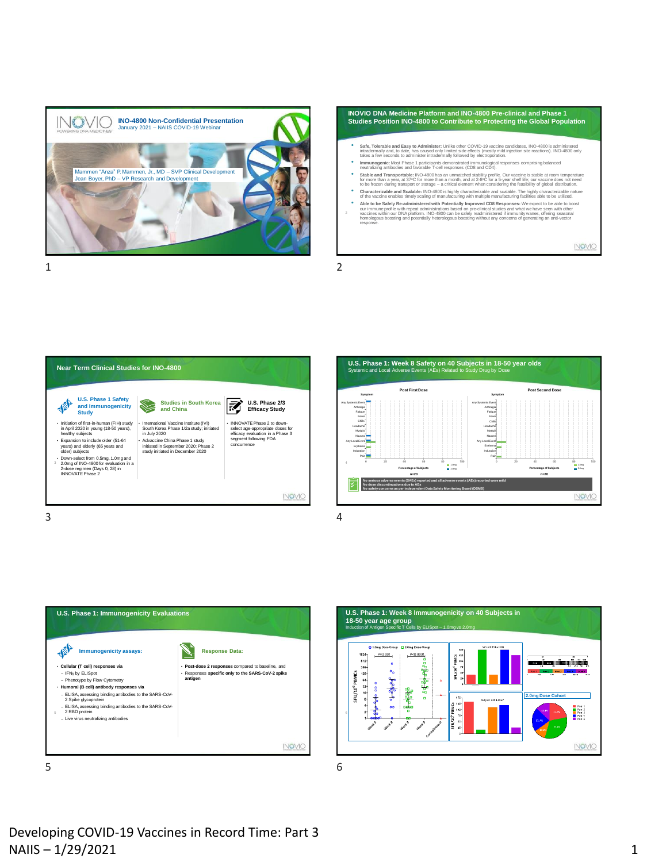

**INOVIO DNA Medicine Platform and INO-4800 Pre-clinical and Phase 1 Studies Position INO-4800 to Contribute to Protecting the Global Population** <sup>e</sup> Safe, Tolerable and Easy to Administer: Unlike other COVID-19 vaccine candidates, INO-4800 is administered<br>intradermally and, to date, has caused only limited side effects (mostly mild injection site reactions). INO-48 • **Immunogenic:** Most Phase 1 participants demonstrated immunological responses comprising balanced neutralizing antibodies and favorable T-cell responses (CD8 and CD4). **Stable and Transportable:** INO-4800 has an unmatched stability profile. Our vaccine is stable at room temperature<br>for more than a year, at 37°C for more than a month, and at 2-8°C for a 5-year shelf life; our vaccine does \* Characterizable and Scalable: INO-4800 is highly characterizable and scalable. The highly characterizable nature of the vaccine enables timely scaling of manufacturing with multiple manufacturing facilities able to be ut • Able to be Safely Re-administered with Potentially Improved CD8 Responses: We expect to be able to boost our immune podile with repeat administrations based on pre-dimensional value of the value of the value of value of INOVIO

1 2









Developing COVID-19 Vaccines in Record Time: Part 3  $N$ AIIS – 1/29/2021 1